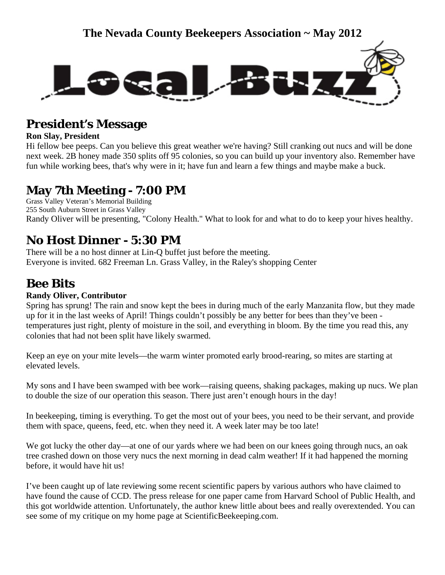

# **President's Message**

### **Ron Slay, President**

Hi fellow bee peeps. Can you believe this great weather we're having? Still cranking out nucs and will be done next week. 2B honey made 350 splits off 95 colonies, so you can build up your inventory also. Remember have fun while working bees, that's why were in it; have fun and learn a few things and maybe make a buck.

## **May 7th Meeting - 7:00 PM**

Grass Valley Veteran's Memorial Building 255 South Auburn Street in Grass Valley Randy Oliver will be presenting, "Colony Health." What to look for and what to do to keep your hives healthy.

# **No Host Dinner - 5:30 PM**

There will be a no host dinner at Lin-Q buffet just before the meeting. Everyone is invited. 682 Freeman Ln. Grass Valley, in the Raley's shopping Center

# **Bee Bits**

## **Randy Oliver, Contributor**

Spring has sprung! The rain and snow kept the bees in during much of the early Manzanita flow, but they made up for it in the last weeks of April! Things couldn't possibly be any better for bees than they've been temperatures just right, plenty of moisture in the soil, and everything in bloom. By the time you read this, any colonies that had not been split have likely swarmed.

Keep an eye on your mite levels—the warm winter promoted early brood-rearing, so mites are starting at elevated levels.

My sons and I have been swamped with bee work—raising queens, shaking packages, making up nucs. We plan to double the size of our operation this season. There just aren't enough hours in the day!

In beekeeping, timing is everything. To get the most out of your bees, you need to be their servant, and provide them with space, queens, feed, etc. when they need it. A week later may be too late!

We got lucky the other day—at one of our yards where we had been on our knees going through nucs, an oak tree crashed down on those very nucs the next morning in dead calm weather! If it had happened the morning before, it would have hit us!

I've been caught up of late reviewing some recent scientific papers by various authors who have claimed to have found the cause of CCD. The press release for one paper came from Harvard School of Public Health, and this got worldwide attention. Unfortunately, the author knew little about bees and really overextended. You can see some of my critique on my home page at ScientificBeekeeping.com.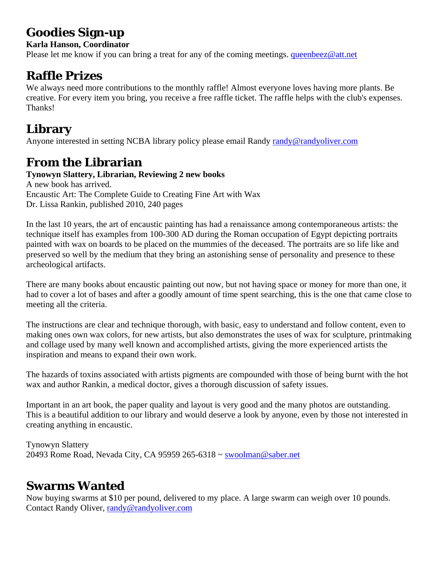# **Goodies Sign-up**

## **Karla Hanson, Coordinator**

Please let me know if you can bring a treat for any of the coming meetings. [queenbeez@att.net](mailto:queenbeez@att.net)

## **Raffle Prizes**

We always need more contributions to the monthly raffle! Almost everyone loves having more plants. Be creative. For every item you bring, you receive a free raffle ticket. The raffle helps with the club's expenses. Thanks!

# **Library**

Anyone interested in setting NCBA library policy please email Randy [randy@randyoliver.com](mailto:randy@randyoliver.com)

# **From the Librarian**

## **Tynowyn Slattery, Librarian, Reviewing 2 new books**

A new book has arrived. Encaustic Art: The Complete Guide to Creating Fine Art with Wax Dr. Lissa Rankin, published 2010, 240 pages

In the last 10 years, the art of encaustic painting has had a renaissance among contemporaneous artists: the technique itself has examples from 100-300 AD during the Roman occupation of Egypt depicting portraits painted with wax on boards to be placed on the mummies of the deceased. The portraits are so life like and preserved so well by the medium that they bring an astonishing sense of personality and presence to these archeological artifacts.

There are many books about encaustic painting out now, but not having space or money for more than one, it had to cover a lot of bases and after a goodly amount of time spent searching, this is the one that came close to meeting all the criteria.

The instructions are clear and technique thorough, with basic, easy to understand and follow content, even to making ones own wax colors, for new artists, but also demonstrates the uses of wax for sculpture, printmaking and collage used by many well known and accomplished artists, giving the more experienced artists the inspiration and means to expand their own work.

The hazards of toxins associated with artists pigments are compounded with those of being burnt with the hot wax and author Rankin, a medical doctor, gives a thorough discussion of safety issues.

Important in an art book, the paper quality and layout is very good and the many photos are outstanding. This is a beautiful addition to our library and would deserve a look by anyone, even by those not interested in creating anything in encaustic.

Tynowyn Slattery 20493 Rome Road, Nevada City, CA 95959 265-6318 ~ [swoolman@saber.net](mailto:swoolman@saber.net) 

# **Swarms Wanted**

Now buying swarms at \$10 per pound, delivered to my place. A large swarm can weigh over 10 pounds. Contact Randy Oliver, [randy@randyoliver.com](mailto:randy@randyoliver.com)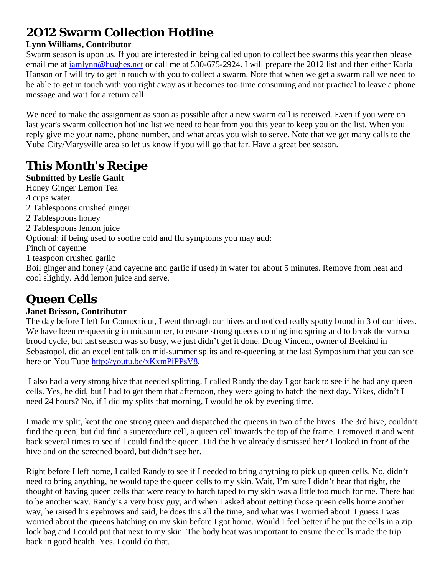# **2O12 Swarm Collection Hotline**

### **Lynn Williams, Contributor**

Swarm season is upon us. If you are interested in being called upon to collect bee swarms this year then please email me at [iamlynn@hughes.net](mailto:iamlynn@hughes.net) or call me at 530-675-2924. I will prepare the 2012 list and then either Karla Hanson or I will try to get in touch with you to collect a swarm. Note that when we get a swarm call we need to be able to get in touch with you right away as it becomes too time consuming and not practical to leave a phone message and wait for a return call.

We need to make the assignment as soon as possible after a new swarm call is received. Even if you were on last year's swarm collection hotline list we need to hear from you this year to keep you on the list. When you reply give me your name, phone number, and what areas you wish to serve. Note that we get many calls to the Yuba City/Marysville area so let us know if you will go that far. Have a great bee season.

# **This Month's Recipe**

**Submitted by Leslie Gault** Honey Ginger Lemon Tea 4 cups water 2 Tablespoons crushed ginger 2 Tablespoons honey 2 Tablespoons lemon juice Optional: if being used to soothe cold and flu symptoms you may add: Pinch of cayenne 1 teaspoon crushed garlic Boil ginger and honey (and cayenne and garlic if used) in water for about 5 minutes. Remove from heat and cool slightly. Add lemon juice and serve.

# **Queen Cells**

## **Janet Brisson, Contributor**

The day before I left for Connecticut, I went through our hives and noticed really spotty brood in 3 of our hives. We have been re-queening in midsummer, to ensure strong queens coming into spring and to break the varroa brood cycle, but last season was so busy, we just didn't get it done. Doug Vincent, owner of Beekind in Sebastopol, did an excellent talk on mid-summer splits and re-queening at the last Symposium that you can see here on You Tube<http://youtu.be/xKxmPiPPsV8>.

 I also had a very strong hive that needed splitting. I called Randy the day I got back to see if he had any queen cells. Yes, he did, but I had to get them that afternoon, they were going to hatch the next day. Yikes, didn't I need 24 hours? No, if I did my splits that morning, I would be ok by evening time.

I made my split, kept the one strong queen and dispatched the queens in two of the hives. The 3rd hive, couldn't find the queen, but did find a supercedure cell, a queen cell towards the top of the frame. I removed it and went back several times to see if I could find the queen. Did the hive already dismissed her? I looked in front of the hive and on the screened board, but didn't see her.

Right before I left home, I called Randy to see if I needed to bring anything to pick up queen cells. No, didn't need to bring anything, he would tape the queen cells to my skin. Wait, I'm sure I didn't hear that right, the thought of having queen cells that were ready to hatch taped to my skin was a little too much for me. There had to be another way. Randy's a very busy guy, and when I asked about getting those queen cells home another way, he raised his eyebrows and said, he does this all the time, and what was I worried about. I guess I was worried about the queens hatching on my skin before I got home. Would I feel better if he put the cells in a zip lock bag and I could put that next to my skin. The body heat was important to ensure the cells made the trip back in good health. Yes, I could do that.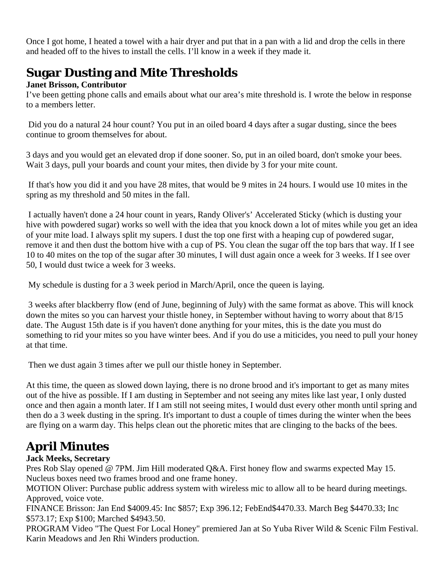Once I got home, I heated a towel with a hair dryer and put that in a pan with a lid and drop the cells in there and headed off to the hives to install the cells. I'll know in a week if they made it.

# **Sugar Dusting and Mite Thresholds**

### **Janet Brisson, Contributor**

I've been getting phone calls and emails about what our area's mite threshold is. I wrote the below in response to a members letter.

Did you do a natural 24 hour count? You put in an oiled board 4 days after a sugar dusting, since the bees continue to groom themselves for about.

3 days and you would get an elevated drop if done sooner. So, put in an oiled board, don't smoke your bees. Wait 3 days, pull your boards and count your mites, then divide by 3 for your mite count.

 If that's how you did it and you have 28 mites, that would be 9 mites in 24 hours. I would use 10 mites in the spring as my threshold and 50 mites in the fall.

 I actually haven't done a 24 hour count in years, Randy Oliver's' Accelerated Sticky (which is dusting your hive with powdered sugar) works so well with the idea that you knock down a lot of mites while you get an idea of your mite load. I always split my supers. I dust the top one first with a heaping cup of powdered sugar, remove it and then dust the bottom hive with a cup of PS. You clean the sugar off the top bars that way. If I see 10 to 40 mites on the top of the sugar after 30 minutes, I will dust again once a week for 3 weeks. If I see over 50, I would dust twice a week for 3 weeks.

My schedule is dusting for a 3 week period in March/April, once the queen is laying.

 3 weeks after blackberry flow (end of June, beginning of July) with the same format as above. This will knock down the mites so you can harvest your thistle honey, in September without having to worry about that 8/15 date. The August 15th date is if you haven't done anything for your mites, this is the date you must do something to rid your mites so you have winter bees. And if you do use a miticides, you need to pull your honey at that time.

Then we dust again 3 times after we pull our thistle honey in September.

At this time, the queen as slowed down laying, there is no drone brood and it's important to get as many mites out of the hive as possible. If I am dusting in September and not seeing any mites like last year, I only dusted once and then again a month later. If I am still not seeing mites, I would dust every other month until spring and then do a 3 week dusting in the spring. It's important to dust a couple of times during the winter when the bees are flying on a warm day. This helps clean out the phoretic mites that are clinging to the backs of the bees.

# **April Minutes**

## **Jack Meeks, Secretary**

Pres Rob Slay opened @ 7PM. Jim Hill moderated Q&A. First honey flow and swarms expected May 15. Nucleus boxes need two frames brood and one frame honey.

MOTION Oliver: Purchase public address system with wireless mic to allow all to be heard during meetings. Approved, voice vote.

FINANCE Brisson: Jan End \$4009.45: Inc \$857; Exp 396.12; FebEnd\$4470.33. March Beg \$4470.33; Inc \$573.17; Exp \$100; Marched \$4943.50.

PROGRAM Video "The Quest For Local Honey" premiered Jan at So Yuba River Wild & Scenic Film Festival. Karin Meadows and Jen Rhi Winders production.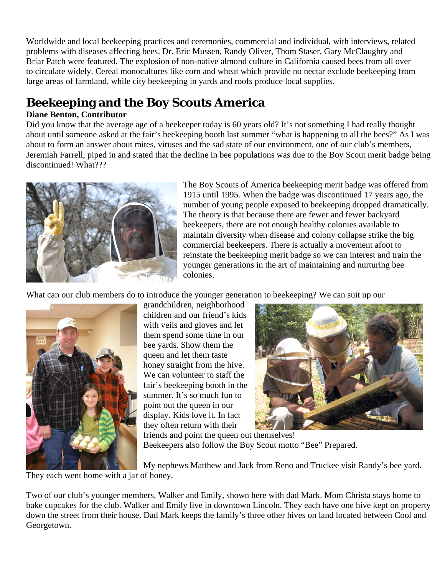Worldwide and local beekeeping practices and ceremonies, commercial and individual, with interviews, related problems with diseases affecting bees. Dr. Eric Mussen, Randy Oliver, Thom Staser, Gary McClaughry and Briar Patch were featured. The explosion of non-native almond culture in California caused bees from all over to circulate widely. Cereal monocultures like corn and wheat which provide no nectar exclude beekeeping from large areas of farmland, while city beekeeping in yards and roofs produce local supplies.

# **Beekeeping and the Boy Scouts America**

### **Diane Benton, Contributor**

Did you know that the average age of a beekeeper today is 60 years old? It's not something I had really thought about until someone asked at the fair's beekeeping booth last summer "what is happening to all the bees?" As I was about to form an answer about mites, viruses and the sad state of our environment, one of our club's members, Jeremiah Farrell, piped in and stated that the decline in bee populations was due to the Boy Scout merit badge being discontinued! What???



The Boy Scouts of America beekeeping merit badge was offered from 1915 until 1995. When the badge was discontinued 17 years ago, the number of young people exposed to beekeeping dropped dramatically. The theory is that because there are fewer and fewer backyard beekeepers, there are not enough healthy colonies available to maintain diversity when disease and colony collapse strike the big commercial beekeepers. There is actually a movement afoot to reinstate the beekeeping merit badge so we can interest and train the younger generations in the art of maintaining and nurturing bee colonies.

What can our club members do to introduce the younger generation to beekeeping? We can suit up our



queen and let them taste We can volunteer to staff the point out the queen in our grandchildren, neighborhood children and our friend's kids with veils and gloves and let them spend some time in our bee yards. Show them the honey straight from the hive. fair's beekeeping booth in the summer. It's so much fun to display. Kids love it. In fact they often return with their



friends and point the queen out themselves! Beekeepers also follow the Boy Scout motto "Bee" Prepared.

My nephews Matthew and Jack from Reno and Truckee visit Randy's bee yard. They each went home with a jar of honey.

Two of our club's younger members, Walker and Emily, shown here with dad Mark. Mom Christa stays home to bake cupcakes for the club. Walker and Emily live in downtown Lincoln. They each have one hive kept on property down the street from their house. Dad Mark keeps the family's three other hives on land located between Cool and Georgetown.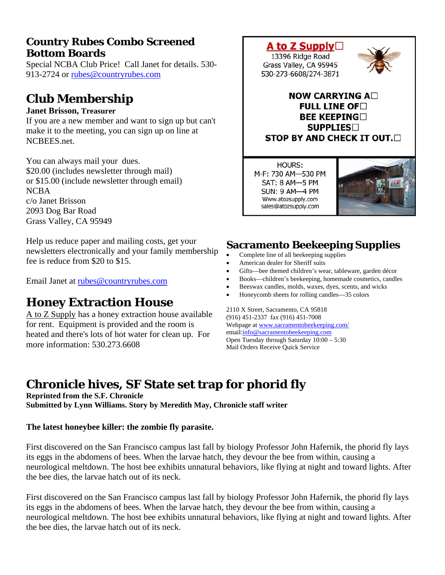## **Country Rubes Combo Screened Bottom Boards**

Special NCBA Club Price! Call Janet for details. 530- 913-2724 or [rubes@countryrubes.com](mailto:rubes@countryrubes.com)

# **Club Membership**

#### **Janet Brisson, Treasurer**

If you are a new member and want to sign up but can't make it to the meeting, you can sign up on line at NCBEES.net.

You can always mail your dues. \$20.00 (includes newsletter through mail) or \$15.00 (include newsletter through email) NCBA c/o Janet Brisson 2093 Dog Bar Road Grass Valley, CA 95949

Help us reduce paper and mailing costs, get your newsletters electronically and your family membership fee is reduce from \$20 to \$15.

Email Janet at [rubes@countryrubes.com](mailto:rubes@countryrubes.com)

# **Honey Extraction House**

A to Z Supply has a honey extraction house available for rent. Equipment is provided and the room is heated and there's lots of hot water for clean up. For more information: 530.273.6608



**HOURS:** M-F: 730 AM-530 PM SAT: 8 AM-5 PM **SUN: 9 AM-4 PM** Www.atozsupply.com sales@atozsupply.com



## **Sacramento Beekeeping Supplies**

- Complete line of all beekeeping supplies
- American dealer for Sheriff suits
- Gifts—bee themed children's wear, tableware, garden décor
- Books—children's beekeeping, homemade cosmetics, candles
- Beeswax candles, molds, waxes, dyes, scents, and wicks
- Honeycomb sheets for rolling candles—35 colors

2110 X Street, Sacramento, CA 95818 (916) 451-2337 fax (916) 451-7008 Webpage at [www.sacramentobeekeeping.com/](http://www.sacramentobeekeeping.com/) email:[info@sacramentobeekeeping.com](mailto:%20info@sacramentobeekeeping.com) Open Tuesday through Saturday 10:00 – 5:30 Mail Orders Receive Quick Service

# **Chronicle hives, SF State set trap for phorid fly**

**Reprinted from the S.F. Chronicle Submitted by Lynn Williams. Story by Meredith May, Chronicle staff writer** 

#### **The latest honeybee killer: the zombie fly parasite.**

First discovered on the San Francisco campus last fall by biology Professor John Hafernik, the phorid fly lays its eggs in the abdomens of bees. When the larvae hatch, they devour the bee from within, causing a neurological meltdown. The host bee exhibits unnatural behaviors, like flying at night and toward lights. After the bee dies, the larvae hatch out of its neck.

First discovered on the San Francisco campus last fall by biology Professor John Hafernik, the phorid fly lays its eggs in the abdomens of bees. When the larvae hatch, they devour the bee from within, causing a neurological meltdown. The host bee exhibits unnatural behaviors, like flying at night and toward lights. After the bee dies, the larvae hatch out of its neck.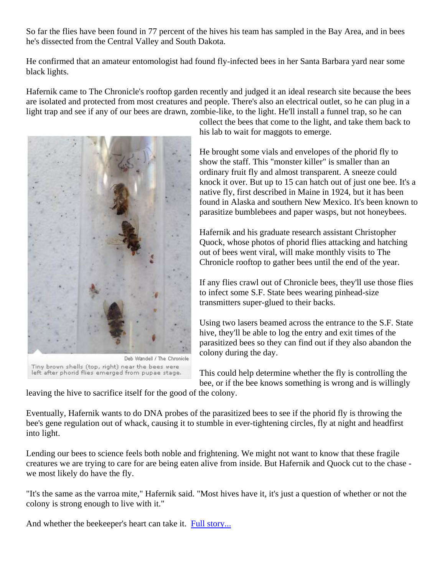So far the flies have been found in 77 percent of the hives his team has sampled in the Bay Area, and in bees he's dissected from the Central Valley and South Dakota.

He confirmed that an amateur entomologist had found fly-infected bees in her Santa Barbara yard near some black lights.

Hafernik came to The Chronicle's rooftop garden recently and judged it an ideal research site because the bees are isolated and protected from most creatures and people. There's also an electrical outlet, so he can plug in a light trap and see if any of our bees are drawn, zombie-like, to the light. He'll install a funnel trap, so he can



collect the bees that come to the light, and take them back to his lab to wait for maggots to emerge.

He brought some vials and envelopes of the phorid fly to show the staff. This "monster killer" is smaller than an ordinary fruit fly and almost transparent. A sneeze could knock it over. But up to 15 can hatch out of just one bee. It's a native fly, first described in Maine in 1924, but it has been found in Alaska and southern New Mexico. It's been know n to parasitize bumblebees and paper wasps, but not ho neybees.

Hafernik and his graduate research assistant Christopher Quock, whose photos of phorid flies attacking and hatching out of bees went viral, will make monthly visits to The Chronicle rooftop to gather bees until the end of the year.

If any flies crawl out of Chronicle bees, they'll use those flies to infect some S.F. State bees wearing pinhead-size transmitters super-glued to their backs.

Using two lasers beamed across the entrance to the S.F. State hive, they'll be able to log the entry and exit times of the parasitized bees so they can find out if they also abandon the colony during the day.

This could help determine whether the fly is controlling the bee, or if the bee knows something is wrong and is willingly

leaving the hive to sacrifice itself for the good of the colony.

Eventually, Hafernik wants to do DNA probes of the parasitized bees to see if the phorid fly is throwing the bee's gene regulation out of whack, causing it to stumble in ever-tightening circles, fly at night and headfirst into light.

Lending our bees to science feels both noble and frightening. We might not want to know that these fragile creatures we are trying to care for are being eaten alive from inside. But Hafernik and Quock cut to the chase we most likely do have the fly.

"It's the same as the varroa mite," Hafernik said. "Most hives have it, it's just a question of whether or not the colony is strong enough to live with it."

And whether the beekeeper's heart can take it. [Full story...](http://www.sfgate.com/cgi-bin/article.cgi?f=/c/a/2012/03/25/HO291NLBRU.DTL)